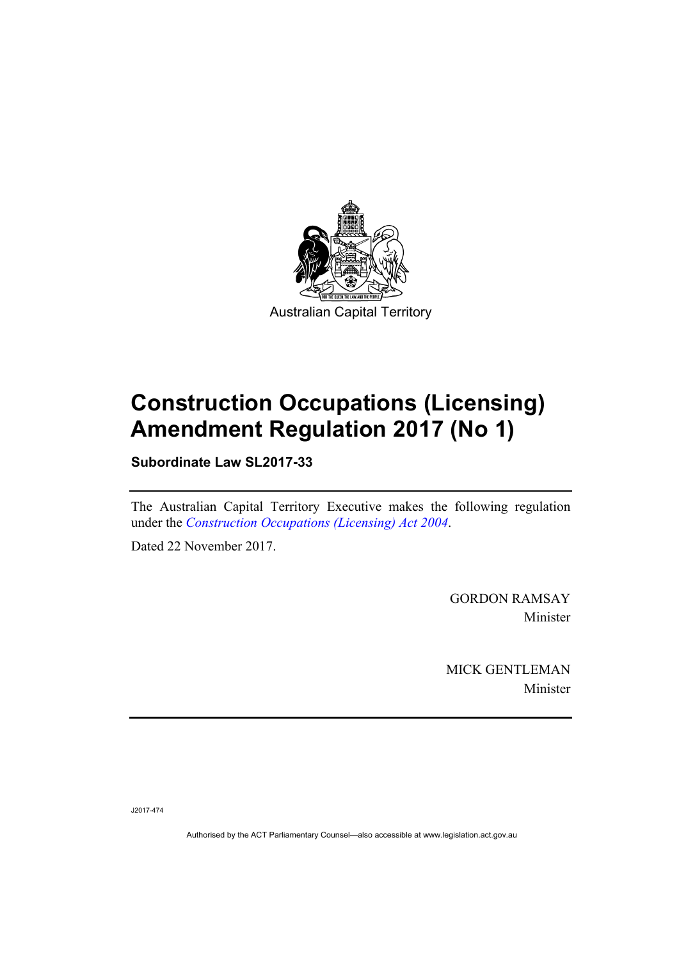

# **Construction Occupations (Licensing) Amendment Regulation 2017 (No 1)**

**Subordinate Law SL2017-33** 

The Australian Capital Territory Executive makes the following regulation under the *[Construction Occupations \(Licensing\) Act 2004](http://www.legislation.act.gov.au/a/2004-12)*.

Dated 22 November 2017.

GORDON RAMSAY Minister

MICK GENTLEMAN Minister

J2017-474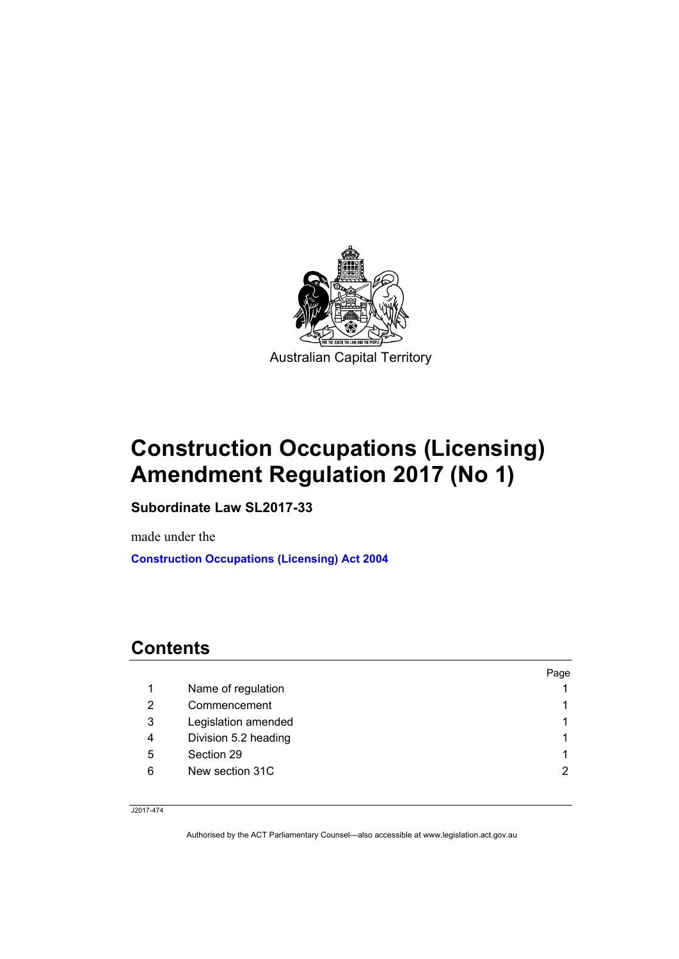

# **Construction Occupations (Licensing) Amendment Regulation 2017 (No 1)**

**Subordinate Law SL2017-33** 

made under the **[Construction Occupations \(Licensing\) Act 2004](http://www.legislation.act.gov.au/a/2004-12)**

# **Contents**

|   |                      | Page |
|---|----------------------|------|
|   | Name of regulation   |      |
| 2 | Commencement         |      |
| 3 | Legislation amended  |      |
| 4 | Division 5.2 heading |      |
| 5 | Section 29           |      |
| 6 | New section 31C      | 2    |
|   |                      |      |

J2017-474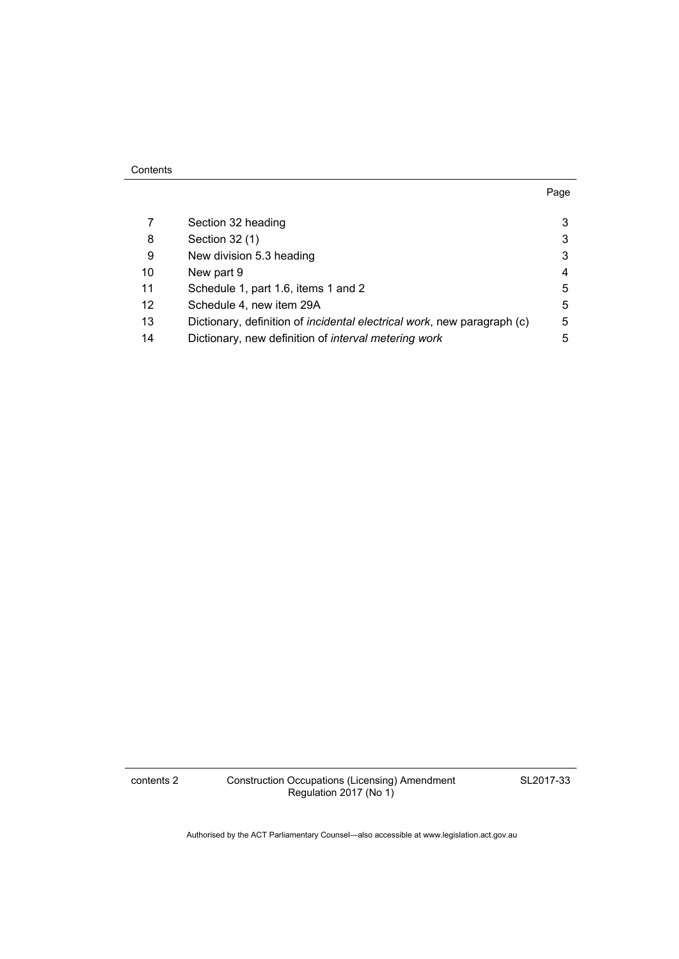| 7  | Section 32 heading                                                              | 3 |
|----|---------------------------------------------------------------------------------|---|
| 8  | Section 32 (1)                                                                  | 3 |
| 9  | New division 5.3 heading                                                        | 3 |
| 10 | New part 9                                                                      | 4 |
| 11 | Schedule 1, part 1.6, items 1 and 2                                             | 5 |
| 12 | Schedule 4, new item 29A                                                        | 5 |
| 13 | Dictionary, definition of <i>incidental electrical work</i> , new paragraph (c) | 5 |
| 14 | Dictionary, new definition of interval metering work                            | 5 |

contents 2 Construction Occupations (Licensing) Amendment Regulation 2017 (No 1)

SL2017-33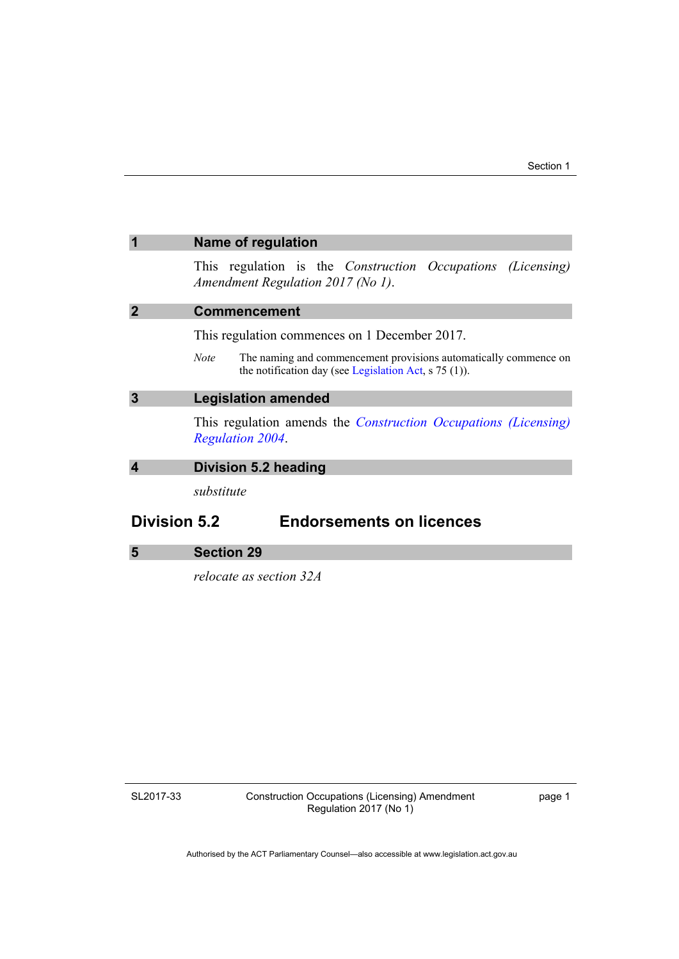<span id="page-4-2"></span><span id="page-4-1"></span><span id="page-4-0"></span>

|                     | <b>Name of regulation</b>                                                                                                            |
|---------------------|--------------------------------------------------------------------------------------------------------------------------------------|
|                     | This regulation is the <i>Construction Occupations (Licensing)</i><br>Amendment Regulation 2017 (No 1).                              |
|                     | <b>Commencement</b>                                                                                                                  |
|                     | This regulation commences on 1 December 2017.                                                                                        |
|                     | The naming and commencement provisions automatically commence on<br>Note.<br>the notification day (see Legislation Act, $s$ 75 (1)). |
| 3                   | <b>Legislation amended</b>                                                                                                           |
|                     | This regulation amends the <i>Construction Occupations (Licensing)</i><br><b>Regulation 2004</b> .                                   |
| 4                   | Division 5.2 heading                                                                                                                 |
|                     | substitute                                                                                                                           |
| <b>Division 5.2</b> | <b>Endorsements on licences</b>                                                                                                      |
| 5                   | <b>Section 29</b>                                                                                                                    |

<span id="page-4-4"></span><span id="page-4-3"></span>*relocate as section 32A* 

SL2017-33

Construction Occupations (Licensing) Amendment Regulation 2017 (No 1)

page 1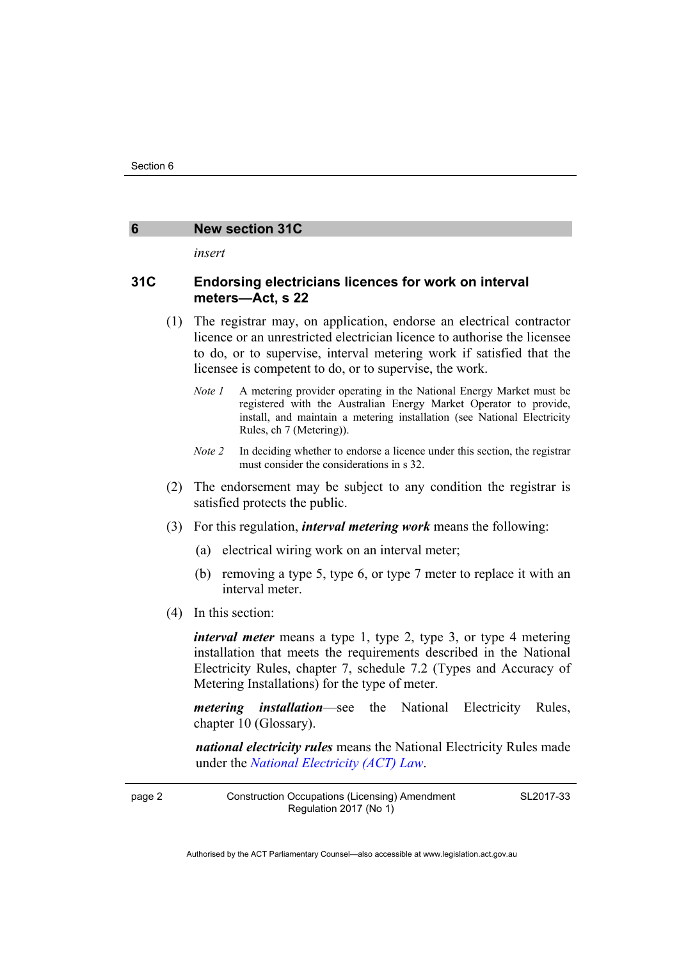#### <span id="page-5-0"></span>**6 New section 31C**

*insert* 

#### **31C Endorsing electricians licences for work on interval meters—Act, s 22**

- (1) The registrar may, on application, endorse an electrical contractor licence or an unrestricted electrician licence to authorise the licensee to do, or to supervise, interval metering work if satisfied that the licensee is competent to do, or to supervise, the work.
	- *Note 1* A metering provider operating in the National Energy Market must be registered with the Australian Energy Market Operator to provide, install, and maintain a metering installation (see National Electricity Rules, ch 7 (Metering)).
	- *Note 2* In deciding whether to endorse a licence under this section, the registrar must consider the considerations in s 32.
- (2) The endorsement may be subject to any condition the registrar is satisfied protects the public.
- (3) For this regulation, *interval metering work* means the following:
	- (a) electrical wiring work on an interval meter;
	- (b) removing a type 5, type 6, or type 7 meter to replace it with an interval meter.
- (4) In this section:

*interval meter* means a type 1, type 2, type 3, or type 4 metering installation that meets the requirements described in the National Electricity Rules, chapter 7, schedule 7.2 (Types and Accuracy of Metering Installations) for the type of meter.

*metering installation*—see the National Electricity Rules, chapter 10 (Glossary).

*national electricity rules* means the National Electricity Rules made under the *[National Electricity \(ACT\) Law](http://www.legislation.act.gov.au/a/1997-79/default.asp)*.

page 2 Construction Occupations (Licensing) Amendment Regulation 2017 (No 1)

SL2017-33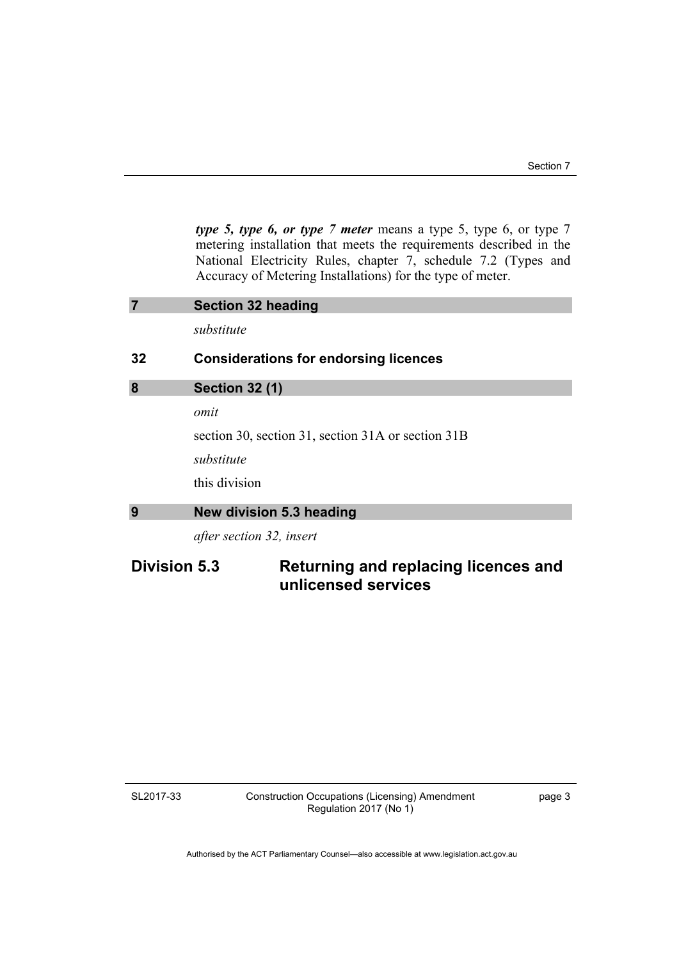*type 5, type 6, or type 7 meter* means a type 5, type 6, or type 7 metering installation that meets the requirements described in the National Electricity Rules, chapter 7, schedule 7.2 (Types and Accuracy of Metering Installations) for the type of meter.

<span id="page-6-2"></span><span id="page-6-1"></span><span id="page-6-0"></span>

|                     | <b>Section 32 heading</b>                          |
|---------------------|----------------------------------------------------|
|                     | substitute                                         |
| 32                  | <b>Considerations for endorsing licences</b>       |
| 8                   | <b>Section 32 (1)</b>                              |
|                     | omit                                               |
|                     | section 30, section 31, section 31A or section 31B |
|                     | substitute                                         |
|                     | this division                                      |
| 9                   | New division 5.3 heading                           |
|                     | after section 32, insert                           |
| <b>Division 5.3</b> | Returning and replacing licences and               |

**unlicensed services** 

SL2017-33

Construction Occupations (Licensing) Amendment Regulation 2017 (No 1)

page 3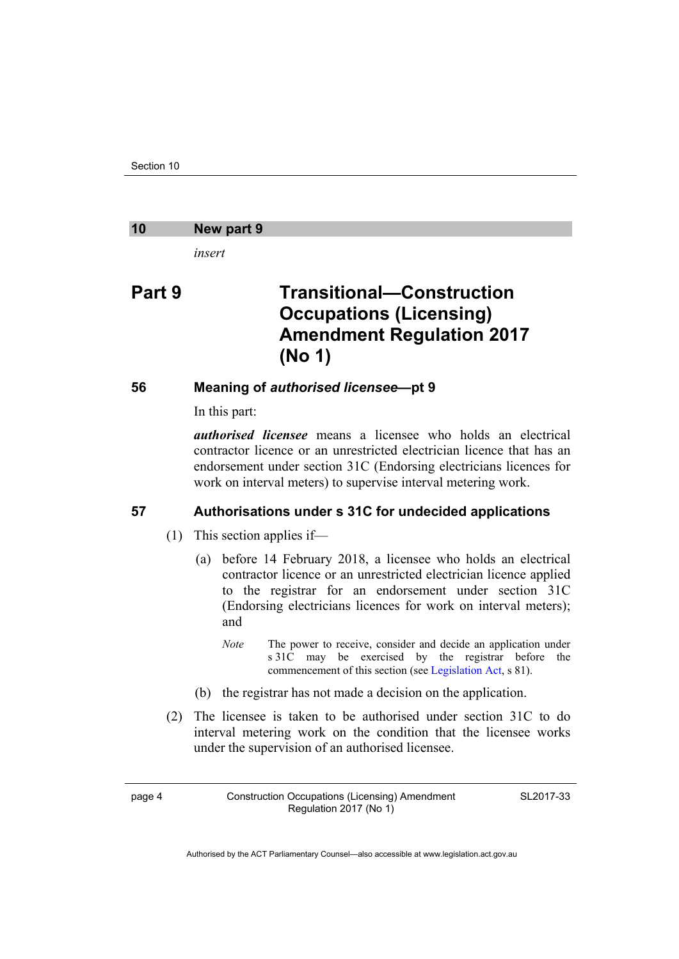#### <span id="page-7-0"></span>**10 New part 9**

*insert* 

## **Part 9 Transitional—Construction Occupations (Licensing) Amendment Regulation 2017 (No 1)**

### **56 Meaning of** *authorised licensee***—pt 9**

In this part:

*authorised licensee* means a licensee who holds an electrical contractor licence or an unrestricted electrician licence that has an endorsement under section 31C (Endorsing electricians licences for work on interval meters) to supervise interval metering work.

### **57 Authorisations under s 31C for undecided applications**

- (1) This section applies if—
	- (a) before 14 February 2018, a licensee who holds an electrical contractor licence or an unrestricted electrician licence applied to the registrar for an endorsement under section 31C (Endorsing electricians licences for work on interval meters); and
		- *Note* The power to receive, consider and decide an application under s 31C may be exercised by the registrar before the commencement of this section (see [Legislation Act,](http://www.legislation.act.gov.au/a/2001-14) s 81).
	- (b) the registrar has not made a decision on the application.
- (2) The licensee is taken to be authorised under section 31C to do interval metering work on the condition that the licensee works under the supervision of an authorised licensee.

SL2017-33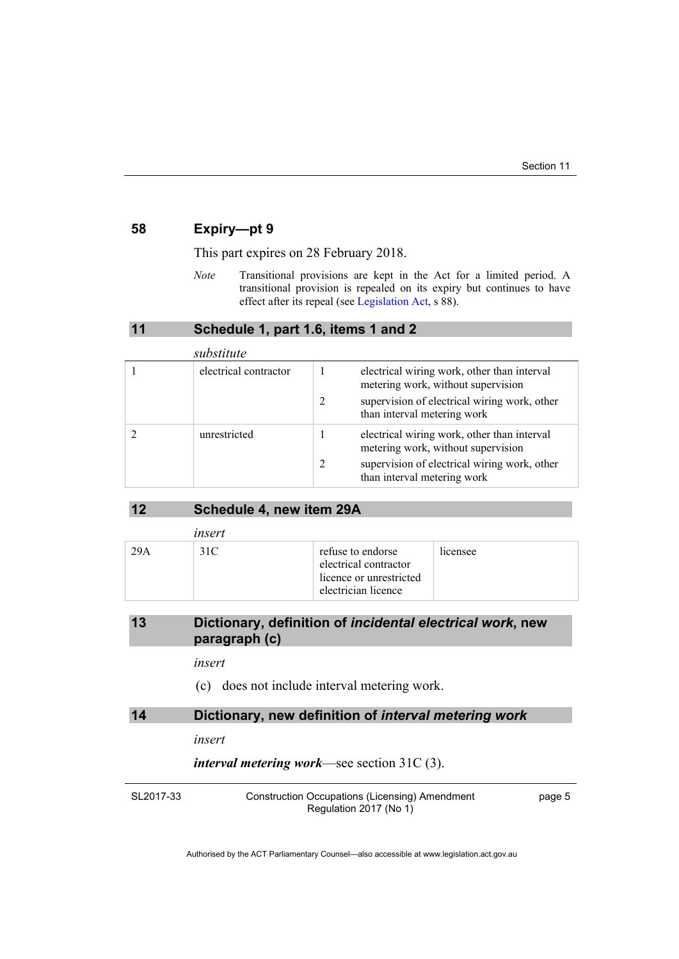#### **58 Expiry—pt 9**

This part expires on 28 February 2018.

*Note* Transitional provisions are kept in the Act for a limited period. A transitional provision is repealed on its expiry but continues to have effect after its repeal (see [Legislation Act,](http://www.legislation.act.gov.au/a/2001-14) s 88).

#### **11 Schedule 1, part 1.6, items 1 and 2**

<span id="page-8-0"></span>

| substitute |                       |   |                                                                                   |
|------------|-----------------------|---|-----------------------------------------------------------------------------------|
|            | electrical contractor |   | electrical wiring work, other than interval<br>metering work, without supervision |
|            |                       | 2 | supervision of electrical wiring work, other<br>than interval metering work       |
|            | unrestricted          |   | electrical wiring work, other than interval<br>metering work, without supervision |
|            |                       | 2 | supervision of electrical wiring work, other<br>than interval metering work       |

| 12 |  | Schedule 4, new item 29A |
|----|--|--------------------------|
|----|--|--------------------------|

<span id="page-8-1"></span>

|     | insert |                                                                                              |          |
|-----|--------|----------------------------------------------------------------------------------------------|----------|
| 29A | 31C    | refuse to endorse<br>electrical contractor<br>licence or unrestricted<br>electrician licence | licensee |

### <span id="page-8-2"></span>**13 Dictionary, definition of** *incidental electrical work***, new paragraph (c)**

#### *insert*

(c) does not include interval metering work.

### <span id="page-8-3"></span>**14 Dictionary, new definition of** *interval metering work*

#### *insert*

*interval metering work*—see section 31C (3).

SL2017-33

Construction Occupations (Licensing) Amendment Regulation 2017 (No 1)

page 5